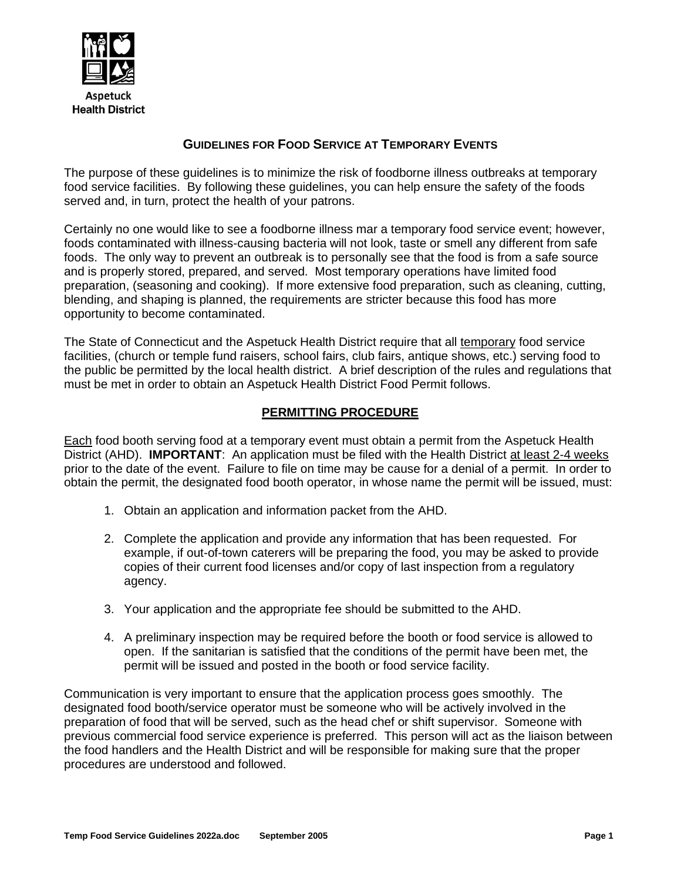

# **GUIDELINES FOR FOOD SERVICE AT TEMPORARY EVENTS**

The purpose of these guidelines is to minimize the risk of foodborne illness outbreaks at temporary food service facilities. By following these guidelines, you can help ensure the safety of the foods served and, in turn, protect the health of your patrons.

Certainly no one would like to see a foodborne illness mar a temporary food service event; however, foods contaminated with illness-causing bacteria will not look, taste or smell any different from safe foods. The only way to prevent an outbreak is to personally see that the food is from a safe source and is properly stored, prepared, and served. Most temporary operations have limited food preparation, (seasoning and cooking). If more extensive food preparation, such as cleaning, cutting, blending, and shaping is planned, the requirements are stricter because this food has more opportunity to become contaminated.

The State of Connecticut and the Aspetuck Health District require that all temporary food service facilities, (church or temple fund raisers, school fairs, club fairs, antique shows, etc.) serving food to the public be permitted by the local health district. A brief description of the rules and regulations that must be met in order to obtain an Aspetuck Health District Food Permit follows.

# **PERMITTING PROCEDURE**

Each food booth serving food at a temporary event must obtain a permit from the Aspetuck Health District (AHD). **IMPORTANT**: An application must be filed with the Health District at least 2-4 weeks prior to the date of the event. Failure to file on time may be cause for a denial of a permit. In order to obtain the permit, the designated food booth operator, in whose name the permit will be issued, must:

- 1. Obtain an application and information packet from the AHD.
- 2. Complete the application and provide any information that has been requested. For example, if out-of-town caterers will be preparing the food, you may be asked to provide copies of their current food licenses and/or copy of last inspection from a regulatory agency.
- 3. Your application and the appropriate fee should be submitted to the AHD.
- 4. A preliminary inspection may be required before the booth or food service is allowed to open. If the sanitarian is satisfied that the conditions of the permit have been met, the permit will be issued and posted in the booth or food service facility.

Communication is very important to ensure that the application process goes smoothly. The designated food booth/service operator must be someone who will be actively involved in the preparation of food that will be served, such as the head chef or shift supervisor. Someone with previous commercial food service experience is preferred. This person will act as the liaison between the food handlers and the Health District and will be responsible for making sure that the proper procedures are understood and followed.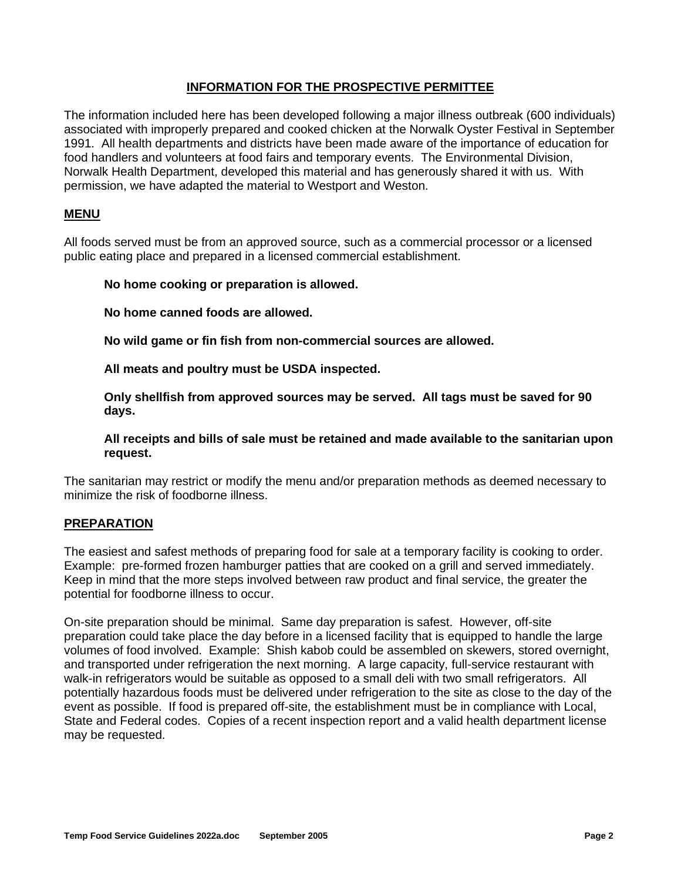## **INFORMATION FOR THE PROSPECTIVE PERMITTEE**

The information included here has been developed following a major illness outbreak (600 individuals) associated with improperly prepared and cooked chicken at the Norwalk Oyster Festival in September 1991. All health departments and districts have been made aware of the importance of education for food handlers and volunteers at food fairs and temporary events. The Environmental Division, Norwalk Health Department, developed this material and has generously shared it with us. With permission, we have adapted the material to Westport and Weston.

## **MENU**

All foods served must be from an approved source, such as a commercial processor or a licensed public eating place and prepared in a licensed commercial establishment.

## **No home cooking or preparation is allowed.**

**No home canned foods are allowed.**

**No wild game or fin fish from non-commercial sources are allowed.**

**All meats and poultry must be USDA inspected.**

**Only shellfish from approved sources may be served. All tags must be saved for 90 days.**

**All receipts and bills of sale must be retained and made available to the sanitarian upon request.**

The sanitarian may restrict or modify the menu and/or preparation methods as deemed necessary to minimize the risk of foodborne illness.

## **PREPARATION**

The easiest and safest methods of preparing food for sale at a temporary facility is cooking to order. Example: pre-formed frozen hamburger patties that are cooked on a grill and served immediately. Keep in mind that the more steps involved between raw product and final service, the greater the potential for foodborne illness to occur.

On-site preparation should be minimal. Same day preparation is safest. However, off-site preparation could take place the day before in a licensed facility that is equipped to handle the large volumes of food involved. Example: Shish kabob could be assembled on skewers, stored overnight, and transported under refrigeration the next morning. A large capacity, full-service restaurant with walk-in refrigerators would be suitable as opposed to a small deli with two small refrigerators. All potentially hazardous foods must be delivered under refrigeration to the site as close to the day of the event as possible. If food is prepared off-site, the establishment must be in compliance with Local, State and Federal codes. Copies of a recent inspection report and a valid health department license may be requested.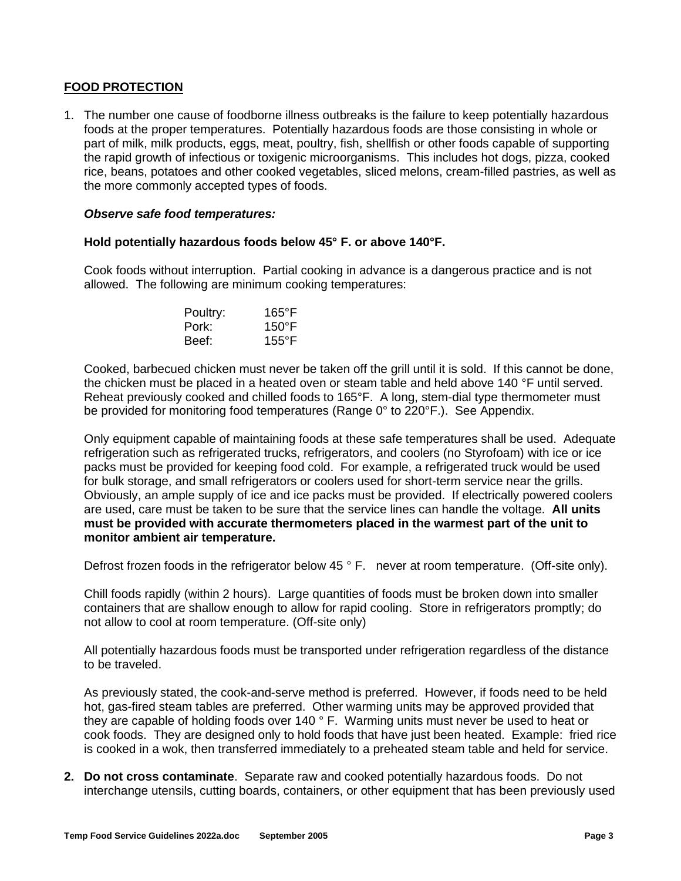## **FOOD PROTECTION**

1. The number one cause of foodborne illness outbreaks is the failure to keep potentially hazardous foods at the proper temperatures. Potentially hazardous foods are those consisting in whole or part of milk, milk products, eggs, meat, poultry, fish, shellfish or other foods capable of supporting the rapid growth of infectious or toxigenic microorganisms. This includes hot dogs, pizza, cooked rice, beans, potatoes and other cooked vegetables, sliced melons, cream-filled pastries, as well as the more commonly accepted types of foods.

#### *Observe safe food temperatures:*

#### **Hold potentially hazardous foods below 45° F. or above 140°F.**

Cook foods without interruption. Partial cooking in advance is a dangerous practice and is not allowed. The following are minimum cooking temperatures:

| Poultry: | $165^{\circ}$ F |
|----------|-----------------|
| Pork:    | $150^{\circ}$ F |
| Beef:    | $155^{\circ}$ F |

Cooked, barbecued chicken must never be taken off the grill until it is sold. If this cannot be done, the chicken must be placed in a heated oven or steam table and held above 140 °F until served. Reheat previously cooked and chilled foods to 165°F. A long, stem-dial type thermometer must be provided for monitoring food temperatures (Range 0° to 220°F.). See Appendix.

Only equipment capable of maintaining foods at these safe temperatures shall be used. Adequate refrigeration such as refrigerated trucks, refrigerators, and coolers (no Styrofoam) with ice or ice packs must be provided for keeping food cold. For example, a refrigerated truck would be used for bulk storage, and small refrigerators or coolers used for short-term service near the grills. Obviously, an ample supply of ice and ice packs must be provided. If electrically powered coolers are used, care must be taken to be sure that the service lines can handle the voltage. **All units must be provided with accurate thermometers placed in the warmest part of the unit to monitor ambient air temperature.**

Defrost frozen foods in the refrigerator below 45 ° F. never at room temperature. (Off-site only).

Chill foods rapidly (within 2 hours). Large quantities of foods must be broken down into smaller containers that are shallow enough to allow for rapid cooling. Store in refrigerators promptly; do not allow to cool at room temperature. (Off-site only)

All potentially hazardous foods must be transported under refrigeration regardless of the distance to be traveled.

As previously stated, the cook-and-serve method is preferred. However, if foods need to be held hot, gas-fired steam tables are preferred. Other warming units may be approved provided that they are capable of holding foods over 140 ° F. Warming units must never be used to heat or cook foods. They are designed only to hold foods that have just been heated. Example: fried rice is cooked in a wok, then transferred immediately to a preheated steam table and held for service.

**2. Do not cross contaminate**. Separate raw and cooked potentially hazardous foods. Do not interchange utensils, cutting boards, containers, or other equipment that has been previously used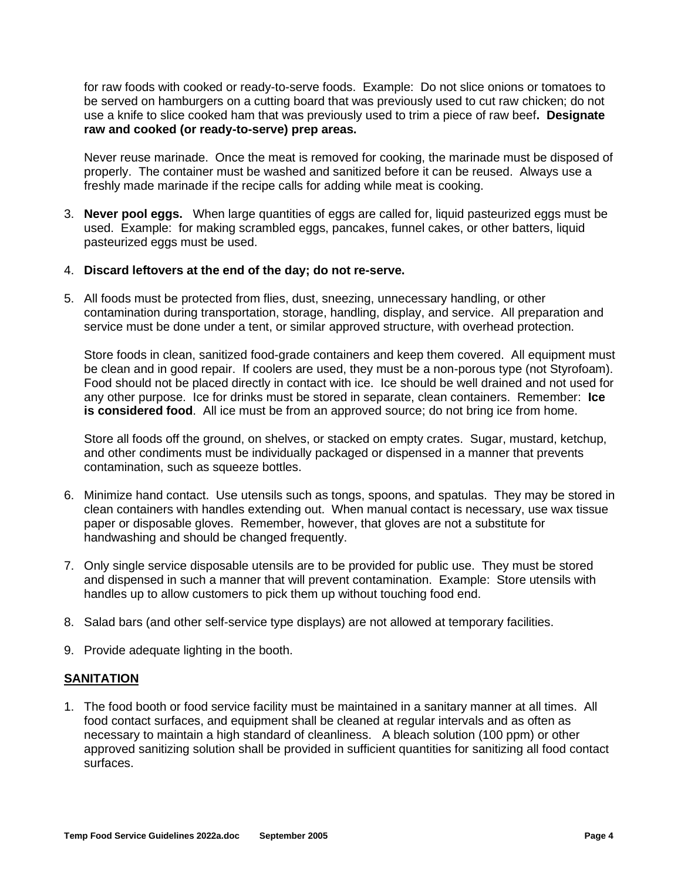for raw foods with cooked or ready-to-serve foods. Example: Do not slice onions or tomatoes to be served on hamburgers on a cutting board that was previously used to cut raw chicken; do not use a knife to slice cooked ham that was previously used to trim a piece of raw beef**. Designate raw and cooked (or ready-to-serve) prep areas.**

Never reuse marinade. Once the meat is removed for cooking, the marinade must be disposed of properly. The container must be washed and sanitized before it can be reused. Always use a freshly made marinade if the recipe calls for adding while meat is cooking.

3. **Never pool eggs.** When large quantities of eggs are called for, liquid pasteurized eggs must be used. Example: for making scrambled eggs, pancakes, funnel cakes, or other batters, liquid pasteurized eggs must be used.

#### 4. **Discard leftovers at the end of the day; do not re-serve.**

5. All foods must be protected from flies, dust, sneezing, unnecessary handling, or other contamination during transportation, storage, handling, display, and service. All preparation and service must be done under a tent, or similar approved structure, with overhead protection.

Store foods in clean, sanitized food-grade containers and keep them covered. All equipment must be clean and in good repair. If coolers are used, they must be a non-porous type (not Styrofoam). Food should not be placed directly in contact with ice. Ice should be well drained and not used for any other purpose. Ice for drinks must be stored in separate, clean containers. Remember: **Ice is considered food**. All ice must be from an approved source; do not bring ice from home.

Store all foods off the ground, on shelves, or stacked on empty crates. Sugar, mustard, ketchup, and other condiments must be individually packaged or dispensed in a manner that prevents contamination, such as squeeze bottles.

- 6. Minimize hand contact. Use utensils such as tongs, spoons, and spatulas. They may be stored in clean containers with handles extending out. When manual contact is necessary, use wax tissue paper or disposable gloves. Remember, however, that gloves are not a substitute for handwashing and should be changed frequently.
- 7. Only single service disposable utensils are to be provided for public use. They must be stored and dispensed in such a manner that will prevent contamination. Example: Store utensils with handles up to allow customers to pick them up without touching food end.
- 8. Salad bars (and other self-service type displays) are not allowed at temporary facilities.
- 9. Provide adequate lighting in the booth.

#### **SANITATION**

1. The food booth or food service facility must be maintained in a sanitary manner at all times. All food contact surfaces, and equipment shall be cleaned at regular intervals and as often as necessary to maintain a high standard of cleanliness. A bleach solution (100 ppm) or other approved sanitizing solution shall be provided in sufficient quantities for sanitizing all food contact surfaces.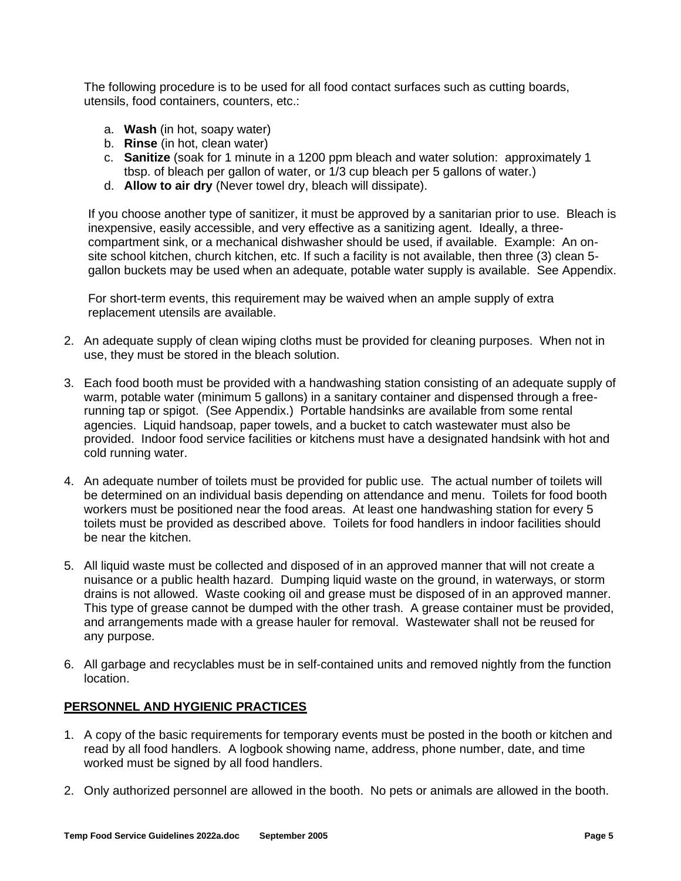The following procedure is to be used for all food contact surfaces such as cutting boards, utensils, food containers, counters, etc.:

- a. **Wash** (in hot, soapy water)
- b. **Rinse** (in hot, clean water)
- c. **Sanitize** (soak for 1 minute in a 1200 ppm bleach and water solution: approximately 1 tbsp. of bleach per gallon of water, or 1/3 cup bleach per 5 gallons of water.)
- d. **Allow to air dry** (Never towel dry, bleach will dissipate).

If you choose another type of sanitizer, it must be approved by a sanitarian prior to use. Bleach is inexpensive, easily accessible, and very effective as a sanitizing agent. Ideally, a threecompartment sink, or a mechanical dishwasher should be used, if available. Example: An onsite school kitchen, church kitchen, etc. If such a facility is not available, then three (3) clean 5 gallon buckets may be used when an adequate, potable water supply is available. See Appendix.

For short-term events, this requirement may be waived when an ample supply of extra replacement utensils are available.

- 2. An adequate supply of clean wiping cloths must be provided for cleaning purposes. When not in use, they must be stored in the bleach solution.
- 3. Each food booth must be provided with a handwashing station consisting of an adequate supply of warm, potable water (minimum 5 gallons) in a sanitary container and dispensed through a freerunning tap or spigot. (See Appendix.) Portable handsinks are available from some rental agencies. Liquid handsoap, paper towels, and a bucket to catch wastewater must also be provided. Indoor food service facilities or kitchens must have a designated handsink with hot and cold running water.
- 4. An adequate number of toilets must be provided for public use. The actual number of toilets will be determined on an individual basis depending on attendance and menu. Toilets for food booth workers must be positioned near the food areas. At least one handwashing station for every 5 toilets must be provided as described above. Toilets for food handlers in indoor facilities should be near the kitchen.
- 5. All liquid waste must be collected and disposed of in an approved manner that will not create a nuisance or a public health hazard. Dumping liquid waste on the ground, in waterways, or storm drains is not allowed. Waste cooking oil and grease must be disposed of in an approved manner. This type of grease cannot be dumped with the other trash. A grease container must be provided, and arrangements made with a grease hauler for removal. Wastewater shall not be reused for any purpose.
- 6. All garbage and recyclables must be in self-contained units and removed nightly from the function location.

## **PERSONNEL AND HYGIENIC PRACTICES**

- 1. A copy of the basic requirements for temporary events must be posted in the booth or kitchen and read by all food handlers. A logbook showing name, address, phone number, date, and time worked must be signed by all food handlers.
- 2. Only authorized personnel are allowed in the booth. No pets or animals are allowed in the booth.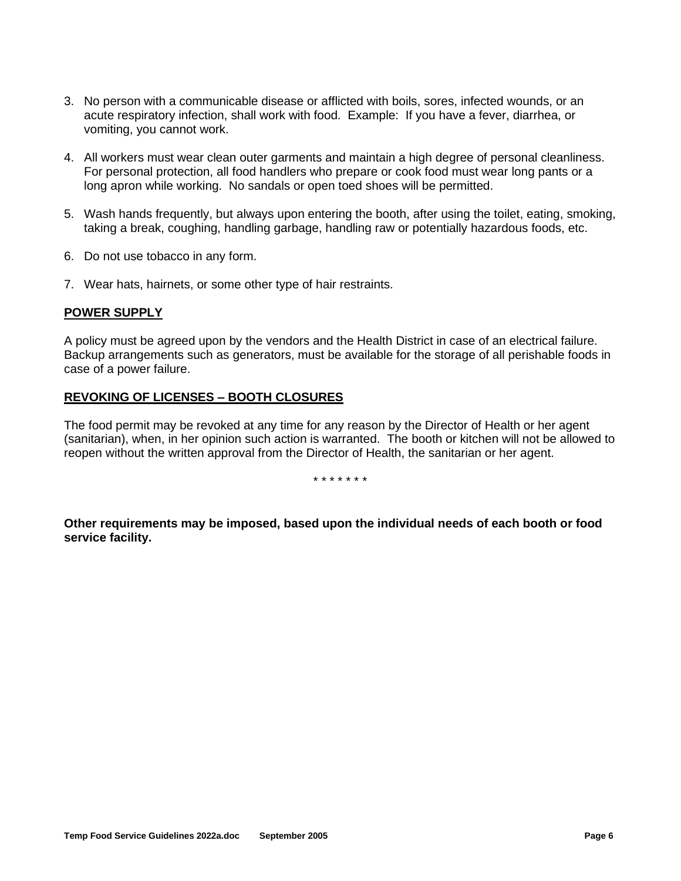- 3. No person with a communicable disease or afflicted with boils, sores, infected wounds, or an acute respiratory infection, shall work with food. Example: If you have a fever, diarrhea, or vomiting, you cannot work.
- 4. All workers must wear clean outer garments and maintain a high degree of personal cleanliness. For personal protection, all food handlers who prepare or cook food must wear long pants or a long apron while working. No sandals or open toed shoes will be permitted.
- 5. Wash hands frequently, but always upon entering the booth, after using the toilet, eating, smoking, taking a break, coughing, handling garbage, handling raw or potentially hazardous foods, etc.
- 6. Do not use tobacco in any form.
- 7. Wear hats, hairnets, or some other type of hair restraints.

## **POWER SUPPLY**

A policy must be agreed upon by the vendors and the Health District in case of an electrical failure. Backup arrangements such as generators, must be available for the storage of all perishable foods in case of a power failure.

## **REVOKING OF LICENSES – BOOTH CLOSURES**

The food permit may be revoked at any time for any reason by the Director of Health or her agent (sanitarian), when, in her opinion such action is warranted. The booth or kitchen will not be allowed to reopen without the written approval from the Director of Health, the sanitarian or her agent.

\* \* \* \* \* \* \*

**Other requirements may be imposed, based upon the individual needs of each booth or food service facility.**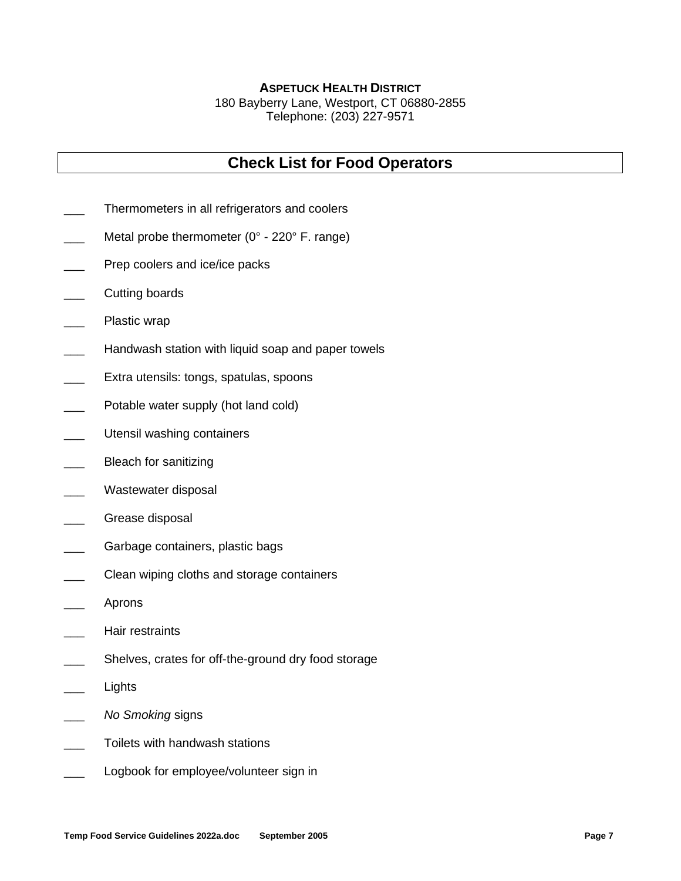# **ASPETUCK HEALTH DISTRICT**

180 Bayberry Lane, Westport, CT 06880-2855 Telephone: (203) 227-9571

# **Check List for Food Operators**

- Thermometers in all refrigerators and coolers
- Metal probe thermometer ( $0^\circ$  220 $^\circ$  F. range)
- Prep coolers and ice/ice packs
- Cutting boards
- Plastic wrap
- Handwash station with liquid soap and paper towels
- Extra utensils: tongs, spatulas, spoons
- Potable water supply (hot land cold)
- Utensil washing containers
- Bleach for sanitizing
- Wastewater disposal
- Grease disposal
- Garbage containers, plastic bags
- Clean wiping cloths and storage containers
- \_\_\_ Aprons
- Hair restraints
- Shelves, crates for off-the-ground dry food storage
- **Lights**
- \_\_\_ *No Smoking* signs
- Toilets with handwash stations
- Logbook for employee/volunteer sign in